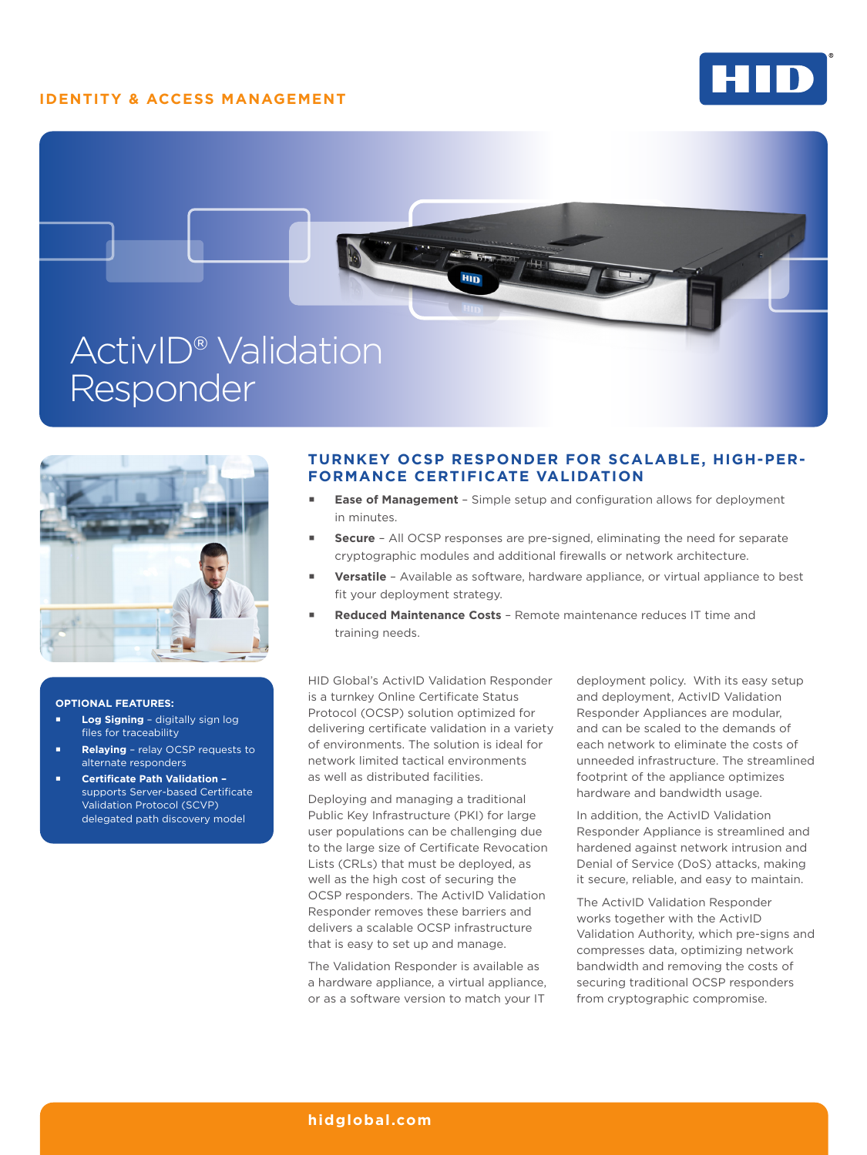## **IDENTITY & ACCESS MANAGEMENT**







#### **OPTIONAL FEATURES:**

- **Log Signing**  digitally sign log files for traceability
- **Relaying**  relay OCSP requests to alternate responders
- **Certificate Path Validation**  supports Server-based Certificate Validation Protocol (SCVP) delegated path discovery model

## **TURNKEY OCSP RESPONDER FOR SCALABLE, HIGH-PER-FORMANCE CERTIFICATE VALIDATION**

- **Ease of Management**  Simple setup and configuration allows for deployment in minutes.
- **Secure** All OCSP responses are pre-signed, eliminating the need for separate cryptographic modules and additional firewalls or network architecture.
- **Versatile** Available as software, hardware appliance, or virtual appliance to best fit your deployment strategy.
- **Reduced Maintenance Costs** Remote maintenance reduces IT time and training needs.

HID Global's ActivID Validation Responder is a turnkey Online Certificate Status Protocol (OCSP) solution optimized for delivering certificate validation in a variety of environments. The solution is ideal for network limited tactical environments as well as distributed facilities.

Deploying and managing a traditional Public Key Infrastructure (PKI) for large user populations can be challenging due to the large size of Certificate Revocation Lists (CRLs) that must be deployed, as well as the high cost of securing the OCSP responders. The ActivID Validation Responder removes these barriers and delivers a scalable OCSP infrastructure that is easy to set up and manage.

The Validation Responder is available as a hardware appliance, a virtual appliance, or as a software version to match your IT

deployment policy. With its easy setup and deployment, ActivID Validation Responder Appliances are modular, and can be scaled to the demands of each network to eliminate the costs of unneeded infrastructure. The streamlined footprint of the appliance optimizes hardware and bandwidth usage.

In addition, the ActivID Validation Responder Appliance is streamlined and hardened against network intrusion and Denial of Service (DoS) attacks, making it secure, reliable, and easy to maintain.

The ActivID Validation Responder works together with the ActivID Validation Authority, which pre-signs and compresses data, optimizing network bandwidth and removing the costs of securing traditional OCSP responders from cryptographic compromise.